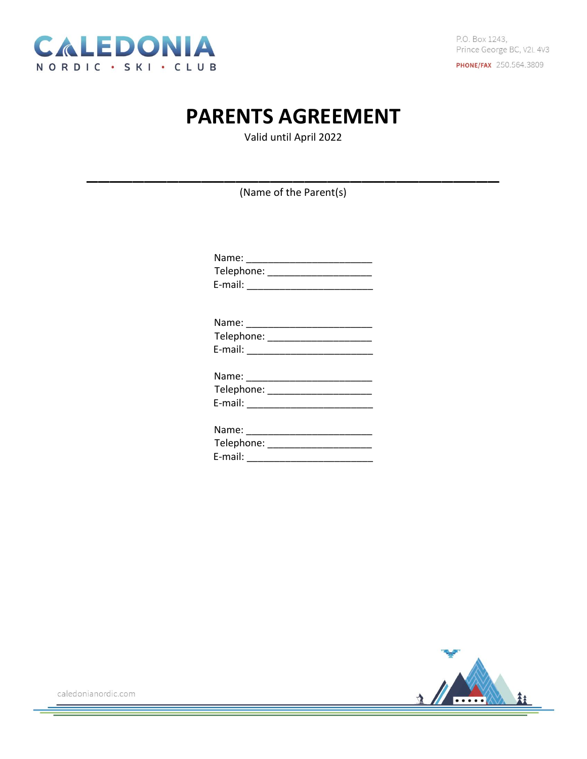

## **PARENTS AGREEMENT**

Valid until April 2022

(Name of the Parent(s)

| E-mail: _____________________________ |
|---------------------------------------|
| Name: _______________________________ |
|                                       |
|                                       |
| Name: ________________________        |
| Telephone: ______________________     |
|                                       |
| Name: _______________________         |
| Telephone: ______________________     |
| E-mail:<br>________                   |

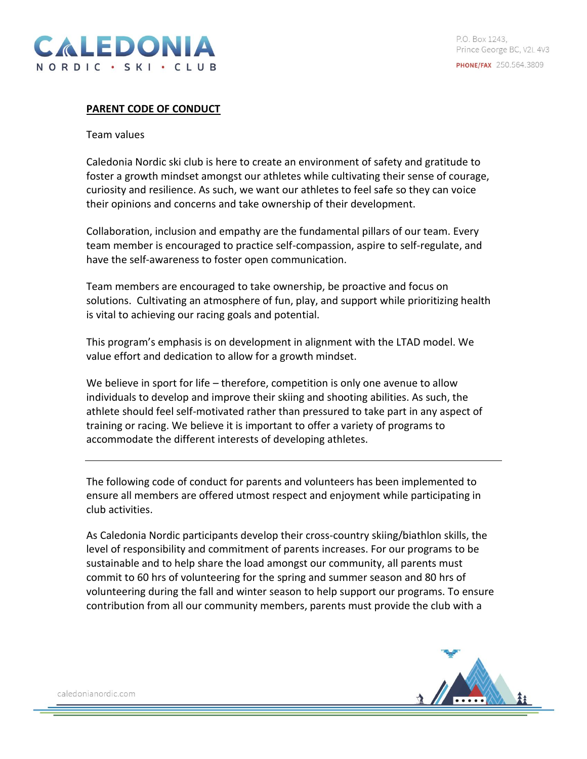

## **PARENT CODE OF CONDUCT**

## Team values

Caledonia Nordic ski club is here to create an environment of safety and gratitude to foster a growth mindset amongst our athletes while cultivating their sense of courage, curiosity and resilience. As such, we want our athletes to feel safe so they can voice their opinions and concerns and take ownership of their development.

Collaboration, inclusion and empathy are the fundamental pillars of our team. Every team member is encouraged to practice self-compassion, aspire to self-regulate, and have the self-awareness to foster open communication.

Team members are encouraged to take ownership, be proactive and focus on solutions. Cultivating an atmosphere of fun, play, and support while prioritizing health is vital to achieving our racing goals and potential.

This program's emphasis is on development in alignment with the LTAD model. We value effort and dedication to allow for a growth mindset.

We believe in sport for life – therefore, competition is only one avenue to allow individuals to develop and improve their skiing and shooting abilities. As such, the athlete should feel self-motivated rather than pressured to take part in any aspect of training or racing. We believe it is important to offer a variety of programs to accommodate the different interests of developing athletes.

The following code of conduct for parents and volunteers has been implemented to ensure all members are offered utmost respect and enjoyment while participating in club activities.

As Caledonia Nordic participants develop their cross-country skiing/biathlon skills, the level of responsibility and commitment of parents increases. For our programs to be sustainable and to help share the load amongst our community, all parents must commit to 60 hrs of volunteering for the spring and summer season and 80 hrs of volunteering during the fall and winter season to help support our programs. To ensure contribution from all our community members, parents must provide the club with a

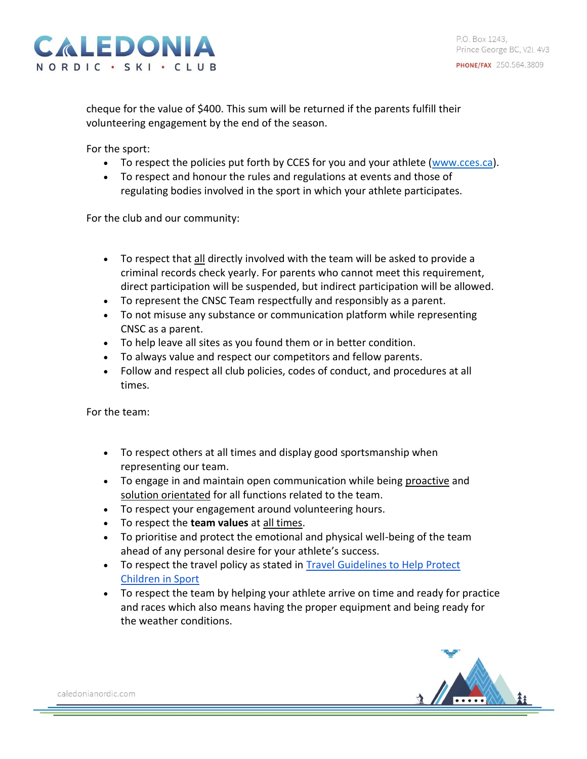cheque for the value of \$400. This sum will be returned if the parents fulfill their volunteering engagement by the end of the season.

For the sport:

- To respect the policies put forth by CCES for you and your athlete [\(www.cces.ca\)](http://www.cces.ca/).
- To respect and honour the rules and regulations at events and those of regulating bodies involved in the sport in which your athlete participates.

For the club and our community:

- To respect that all directly involved with the team will be asked to provide a criminal records check yearly. For parents who cannot meet this requirement, direct participation will be suspended, but indirect participation will be allowed.
- To represent the CNSC Team respectfully and responsibly as a parent.
- To not misuse any substance or communication platform while representing CNSC as a parent.
- To help leave all sites as you found them or in better condition.
- To always value and respect our competitors and fellow parents.
- Follow and respect all club policies, codes of conduct, and procedures at all times.

For the team:

- To respect others at all times and display good sportsmanship when representing our team.
- To engage in and maintain open communication while being proactive and solution orientated for all functions related to the team.
- To respect your engagement around volunteering hours.
- To respect the **team values** at all times.
- To prioritise and protect the emotional and physical well-being of the team ahead of any personal desire for your athlete's success.
- To respect the travel policy as stated in [Travel Guidelines to Help Protect](https://commit2kids.ca/pdfs/EDU_TravelGuidelinesYouthSport_en.pdf)  [Children in Sport](https://commit2kids.ca/pdfs/EDU_TravelGuidelinesYouthSport_en.pdf)
- To respect the team by helping your athlete arrive on time and ready for practice and races which also means having the proper equipment and being ready for the weather conditions.

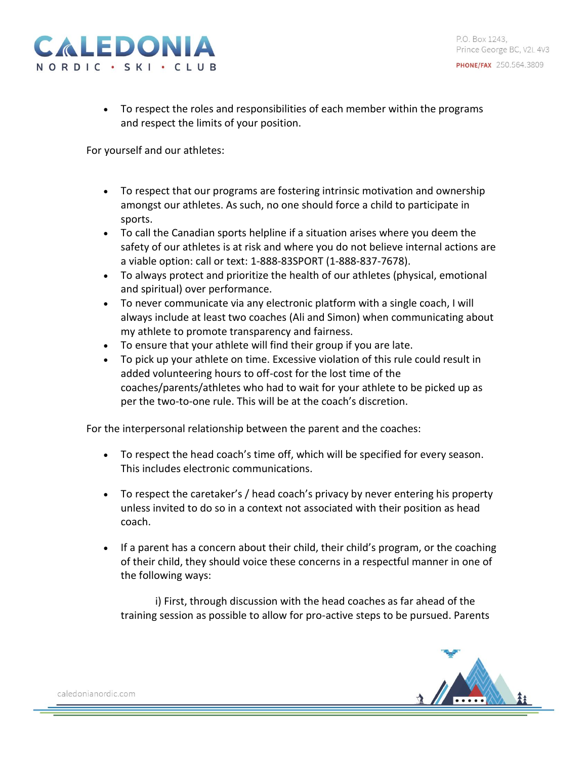

PO Box 1243 Prince George BC, V2L 4V3 **PHONE/FAX** 250.564.3809

• To respect the roles and responsibilities of each member within the programs and respect the limits of your position.

For yourself and our athletes:

- To respect that our programs are fostering intrinsic motivation and ownership amongst our athletes. As such, no one should force a child to participate in sports.
- To call the Canadian sports helpline if a situation arises where you deem the safety of our athletes is at risk and where you do not believe internal actions are a viable option: call or text: 1-888-83SPORT (1-888-837-7678).
- To always protect and prioritize the health of our athletes (physical, emotional and spiritual) over performance.
- To never communicate via any electronic platform with a single coach, I will always include at least two coaches (Ali and Simon) when communicating about my athlete to promote transparency and fairness.
- To ensure that your athlete will find their group if you are late.
- To pick up your athlete on time. Excessive violation of this rule could result in added volunteering hours to off-cost for the lost time of the coaches/parents/athletes who had to wait for your athlete to be picked up as per the two-to-one rule. This will be at the coach's discretion.

For the interpersonal relationship between the parent and the coaches:

- To respect the head coach's time off, which will be specified for every season. This includes electronic communications.
- To respect the caretaker's / head coach's privacy by never entering his property unless invited to do so in a context not associated with their position as head coach.
- If a parent has a concern about their child, their child's program, or the coaching of their child, they should voice these concerns in a respectful manner in one of the following ways:

i) First, through discussion with the head coaches as far ahead of the training session as possible to allow for pro-active steps to be pursued. Parents

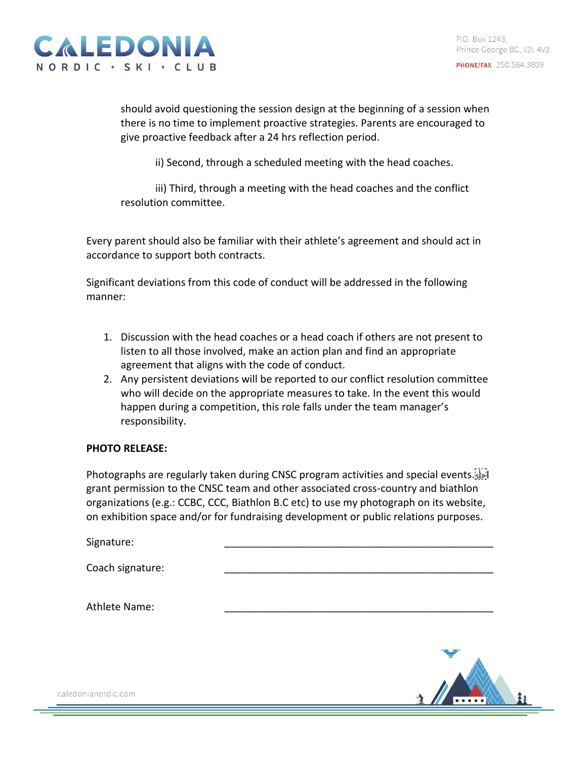

should avoid questioning the session design at the beginning of a session when there is no time to implement proactive strategies. Parents are encouraged to give proactive feedback after a 24 hrs reflection period.

ii) Second, through a scheduled meeting with the head coaches.

iii) Third, through a meeting with the head coaches and the conflict resolution committee.

Every parent should also be familiar with their athlete's agreement and should act in accordance to support both contracts.

Significant deviations from this code of conduct will be addressed in the following manner:

- 1. Discussion with the head coaches or a head coach if others are not present to listen to all those involved, make an action plan and find an appropriate agreement that aligns with the code of conduct.
- 2. Any persistent deviations will be reported to our conflict resolution committee who will decide on the appropriate measures to take. In the event this would happen during a competition, this role falls under the team manager's responsibility.

## **PHOTO RELEASE:**

Photographs are regularly taken during CNSC program activities and special events. grant permission to the CNSC team and other associated cross-country and biathlon organizations (e.g.: CCBC, CCC, Biathlon B.C etc) to use my photograph on its website, on exhibition space and/or for fundraising development or public relations purposes.

Signature:

Coach signature:

Athlete Name: